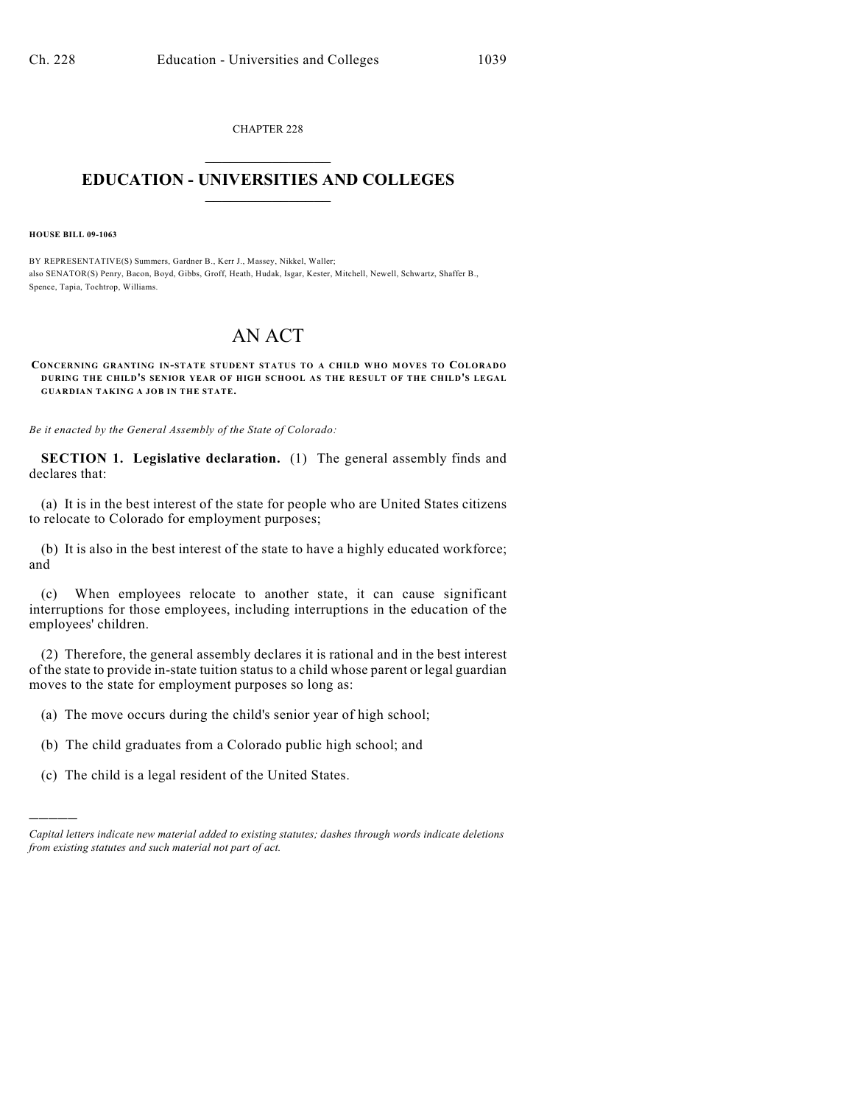CHAPTER 228  $\overline{\phantom{a}}$  . The set of the set of the set of the set of the set of the set of the set of the set of the set of the set of the set of the set of the set of the set of the set of the set of the set of the set of the set o

## **EDUCATION - UNIVERSITIES AND COLLEGES**  $\_$

**HOUSE BILL 09-1063**

)))))

BY REPRESENTATIVE(S) Summers, Gardner B., Kerr J., Massey, Nikkel, Waller; also SENATOR(S) Penry, Bacon, Boyd, Gibbs, Groff, Heath, Hudak, Isgar, Kester, Mitchell, Newell, Schwartz, Shaffer B., Spence, Tapia, Tochtrop, Williams.

## AN ACT

**CONCERNING GRANTING IN-STATE STUDENT STATUS TO A CHILD WHO MOVES TO COLORADO DURING THE CHILD'S SENIOR YEAR OF HIGH SCHOOL AS THE RESULT OF THE CHILD'S LEGAL GUARDIAN TAKING A JOB IN THE STATE.**

*Be it enacted by the General Assembly of the State of Colorado:*

**SECTION 1. Legislative declaration.** (1) The general assembly finds and declares that:

(a) It is in the best interest of the state for people who are United States citizens to relocate to Colorado for employment purposes;

(b) It is also in the best interest of the state to have a highly educated workforce; and

(c) When employees relocate to another state, it can cause significant interruptions for those employees, including interruptions in the education of the employees' children.

(2) Therefore, the general assembly declares it is rational and in the best interest of the state to provide in-state tuition status to a child whose parent or legal guardian moves to the state for employment purposes so long as:

- (a) The move occurs during the child's senior year of high school;
- (b) The child graduates from a Colorado public high school; and
- (c) The child is a legal resident of the United States.

*Capital letters indicate new material added to existing statutes; dashes through words indicate deletions from existing statutes and such material not part of act.*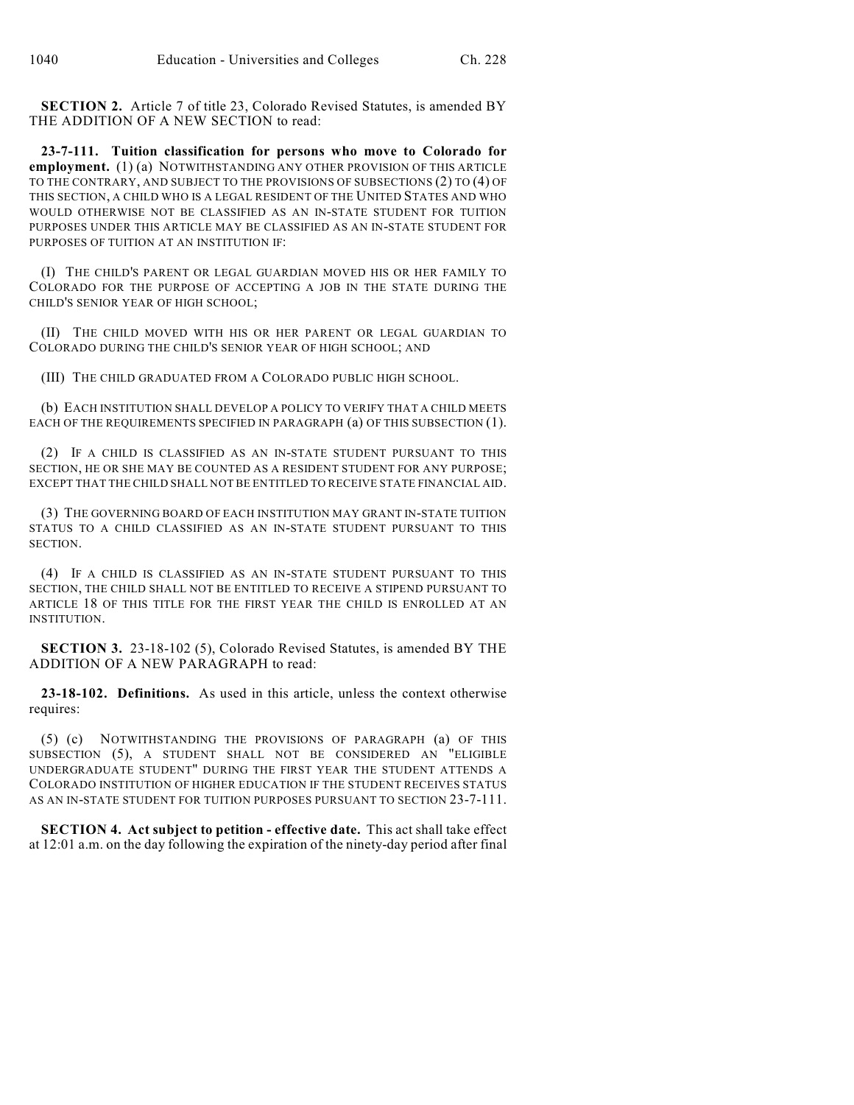**SECTION 2.** Article 7 of title 23, Colorado Revised Statutes, is amended BY THE ADDITION OF A NEW SECTION to read:

**23-7-111. Tuition classification for persons who move to Colorado for employment.** (1) (a) NOTWITHSTANDING ANY OTHER PROVISION OF THIS ARTICLE TO THE CONTRARY, AND SUBJECT TO THE PROVISIONS OF SUBSECTIONS (2) TO (4) OF THIS SECTION, A CHILD WHO IS A LEGAL RESIDENT OF THE UNITED STATES AND WHO WOULD OTHERWISE NOT BE CLASSIFIED AS AN IN-STATE STUDENT FOR TUITION PURPOSES UNDER THIS ARTICLE MAY BE CLASSIFIED AS AN IN-STATE STUDENT FOR PURPOSES OF TUITION AT AN INSTITUTION IF:

(I) THE CHILD'S PARENT OR LEGAL GUARDIAN MOVED HIS OR HER FAMILY TO COLORADO FOR THE PURPOSE OF ACCEPTING A JOB IN THE STATE DURING THE CHILD'S SENIOR YEAR OF HIGH SCHOOL;

(II) THE CHILD MOVED WITH HIS OR HER PARENT OR LEGAL GUARDIAN TO COLORADO DURING THE CHILD'S SENIOR YEAR OF HIGH SCHOOL; AND

(III) THE CHILD GRADUATED FROM A COLORADO PUBLIC HIGH SCHOOL.

(b) EACH INSTITUTION SHALL DEVELOP A POLICY TO VERIFY THAT A CHILD MEETS EACH OF THE REQUIREMENTS SPECIFIED IN PARAGRAPH (a) OF THIS SUBSECTION (1).

(2) IF A CHILD IS CLASSIFIED AS AN IN-STATE STUDENT PURSUANT TO THIS SECTION, HE OR SHE MAY BE COUNTED AS A RESIDENT STUDENT FOR ANY PURPOSE; EXCEPT THAT THE CHILD SHALL NOT BE ENTITLED TO RECEIVE STATE FINANCIAL AID.

(3) THE GOVERNING BOARD OF EACH INSTITUTION MAY GRANT IN-STATE TUITION STATUS TO A CHILD CLASSIFIED AS AN IN-STATE STUDENT PURSUANT TO THIS **SECTION** 

(4) IF A CHILD IS CLASSIFIED AS AN IN-STATE STUDENT PURSUANT TO THIS SECTION, THE CHILD SHALL NOT BE ENTITLED TO RECEIVE A STIPEND PURSUANT TO ARTICLE 18 OF THIS TITLE FOR THE FIRST YEAR THE CHILD IS ENROLLED AT AN INSTITUTION.

**SECTION 3.** 23-18-102 (5), Colorado Revised Statutes, is amended BY THE ADDITION OF A NEW PARAGRAPH to read:

**23-18-102. Definitions.** As used in this article, unless the context otherwise requires:

(5) (c) NOTWITHSTANDING THE PROVISIONS OF PARAGRAPH (a) OF THIS SUBSECTION (5), A STUDENT SHALL NOT BE CONSIDERED AN "ELIGIBLE UNDERGRADUATE STUDENT" DURING THE FIRST YEAR THE STUDENT ATTENDS A COLORADO INSTITUTION OF HIGHER EDUCATION IF THE STUDENT RECEIVES STATUS AS AN IN-STATE STUDENT FOR TUITION PURPOSES PURSUANT TO SECTION 23-7-111.

**SECTION 4. Act subject to petition - effective date.** This act shall take effect at 12:01 a.m. on the day following the expiration of the ninety-day period after final